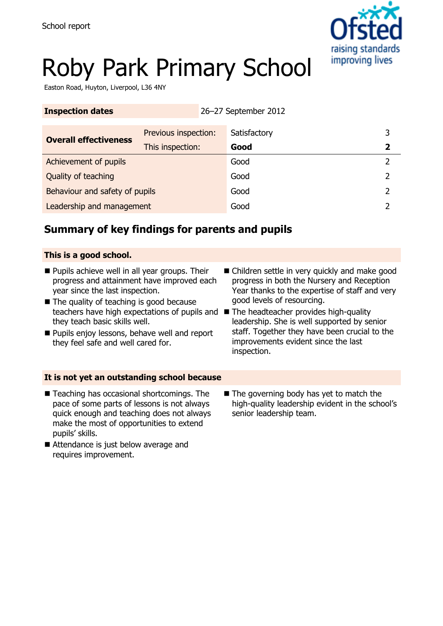

# Roby Park Primary School

Easton Road, Huyton, Liverpool, L36 4NY

| <b>Inspection dates</b>        |                      | 26-27 September 2012 |             |
|--------------------------------|----------------------|----------------------|-------------|
| <b>Overall effectiveness</b>   | Previous inspection: | Satisfactory         | 3           |
|                                | This inspection:     | Good                 | $\mathbf 2$ |
| Achievement of pupils          |                      | Good                 |             |
| Quality of teaching            |                      | Good                 |             |
| Behaviour and safety of pupils |                      | Good                 | 2           |
| Leadership and management      |                      | Good                 |             |

## **Summary of key findings for parents and pupils**

#### **This is a good school.**

- **Pupils achieve well in all year groups. Their** progress and attainment have improved each year since the last inspection.
- The quality of teaching is good because teachers have high expectations of pupils and The headteacher provides high-quality they teach basic skills well.
- **Pupils enjoy lessons, behave well and report** they feel safe and well cared for.
- Children settle in very quickly and make good progress in both the Nursery and Reception Year thanks to the expertise of staff and very good levels of resourcing.
- leadership. She is well supported by senior staff. Together they have been crucial to the improvements evident since the last inspection.

#### **It is not yet an outstanding school because**

- Teaching has occasional shortcomings. The pace of some parts of lessons is not always quick enough and teaching does not always make the most of opportunities to extend pupils' skills.
- Attendance is just below average and requires improvement.
- $\blacksquare$  The governing body has yet to match the high-quality leadership evident in the school's senior leadership team.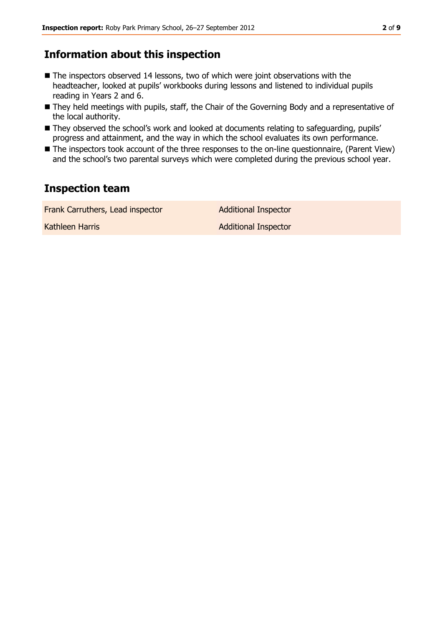## **Information about this inspection**

- The inspectors observed 14 lessons, two of which were joint observations with the headteacher, looked at pupils' workbooks during lessons and listened to individual pupils reading in Years 2 and 6.
- They held meetings with pupils, staff, the Chair of the Governing Body and a representative of the local authority.
- They observed the school's work and looked at documents relating to safeguarding, pupils' progress and attainment, and the way in which the school evaluates its own performance.
- The inspectors took account of the three responses to the on-line questionnaire, (Parent View) and the school's two parental surveys which were completed during the previous school year.

## **Inspection team**

| Frank Carruthers, Lead inspector | <b>Additional Inspector</b> |
|----------------------------------|-----------------------------|
| Kathleen Harris                  | <b>Additional Inspector</b> |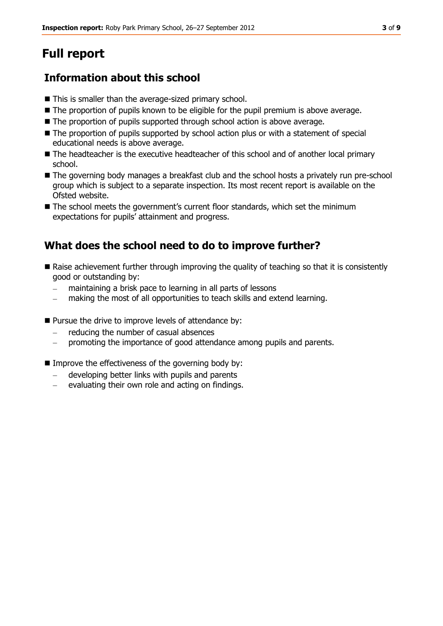# **Full report**

## **Information about this school**

- This is smaller than the average-sized primary school.
- $\blacksquare$  The proportion of pupils known to be eligible for the pupil premium is above average.
- The proportion of pupils supported through school action is above average.
- $\blacksquare$  The proportion of pupils supported by school action plus or with a statement of special educational needs is above average.
- The headteacher is the executive headteacher of this school and of another local primary school.
- The governing body manages a breakfast club and the school hosts a privately run pre-school group which is subject to a separate inspection. Its most recent report is available on the Ofsted website.
- The school meets the government's current floor standards, which set the minimum expectations for pupils' attainment and progress.

## **What does the school need to do to improve further?**

- Raise achievement further through improving the quality of teaching so that it is consistently good or outstanding by:
	- maintaining a brisk pace to learning in all parts of lessons
	- making the most of all opportunities to teach skills and extend learning.
- **Pursue the drive to improve levels of attendance by:** 
	- reducing the number of casual absences
	- promoting the importance of good attendance among pupils and parents.
- $\blacksquare$  Improve the effectiveness of the governing body by:
	- developing better links with pupils and parents
	- evaluating their own role and acting on findings.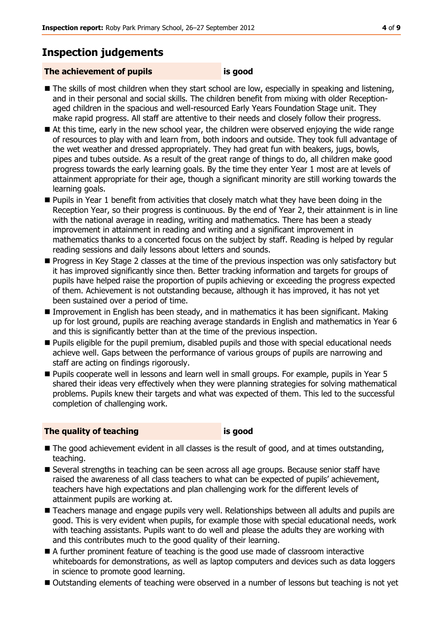## **Inspection judgements**

#### **The achievement of pupils is good**

- The skills of most children when they start school are low, especially in speaking and listening, and in their personal and social skills. The children benefit from mixing with older Receptionaged children in the spacious and well-resourced Early Years Foundation Stage unit. They make rapid progress. All staff are attentive to their needs and closely follow their progress.
- At this time, early in the new school year, the children were observed enjoying the wide range of resources to play with and learn from, both indoors and outside. They took full advantage of the wet weather and dressed appropriately. They had great fun with beakers, jugs, bowls, pipes and tubes outside. As a result of the great range of things to do, all children make good progress towards the early learning goals. By the time they enter Year 1 most are at levels of attainment appropriate for their age, though a significant minority are still working towards the learning goals.
- **Pupils in Year 1 benefit from activities that closely match what they have been doing in the** Reception Year, so their progress is continuous. By the end of Year 2, their attainment is in line with the national average in reading, writing and mathematics. There has been a steady improvement in attainment in reading and writing and a significant improvement in mathematics thanks to a concerted focus on the subject by staff. Reading is helped by regular reading sessions and daily lessons about letters and sounds.
- **Progress in Key Stage 2 classes at the time of the previous inspection was only satisfactory but** it has improved significantly since then. Better tracking information and targets for groups of pupils have helped raise the proportion of pupils achieving or exceeding the progress expected of them. Achievement is not outstanding because, although it has improved, it has not yet been sustained over a period of time.
- Improvement in English has been steady, and in mathematics it has been significant. Making up for lost ground, pupils are reaching average standards in English and mathematics in Year 6 and this is significantly better than at the time of the previous inspection.
- **Pupils eligible for the pupil premium, disabled pupils and those with special educational needs** achieve well. Gaps between the performance of various groups of pupils are narrowing and staff are acting on findings rigorously.
- Pupils cooperate well in lessons and learn well in small groups. For example, pupils in Year 5 shared their ideas very effectively when they were planning strategies for solving mathematical problems. Pupils knew their targets and what was expected of them. This led to the successful completion of challenging work.

#### **The quality of teaching is good**

- The good achievement evident in all classes is the result of good, and at times outstanding, teaching.
- Several strengths in teaching can be seen across all age groups. Because senior staff have raised the awareness of all class teachers to what can be expected of pupils' achievement, teachers have high expectations and plan challenging work for the different levels of attainment pupils are working at.
- Teachers manage and engage pupils very well. Relationships between all adults and pupils are good. This is very evident when pupils, for example those with special educational needs, work with teaching assistants. Pupils want to do well and please the adults they are working with and this contributes much to the good quality of their learning.
- A further prominent feature of teaching is the good use made of classroom interactive whiteboards for demonstrations, as well as laptop computers and devices such as data loggers in science to promote good learning.
- Outstanding elements of teaching were observed in a number of lessons but teaching is not yet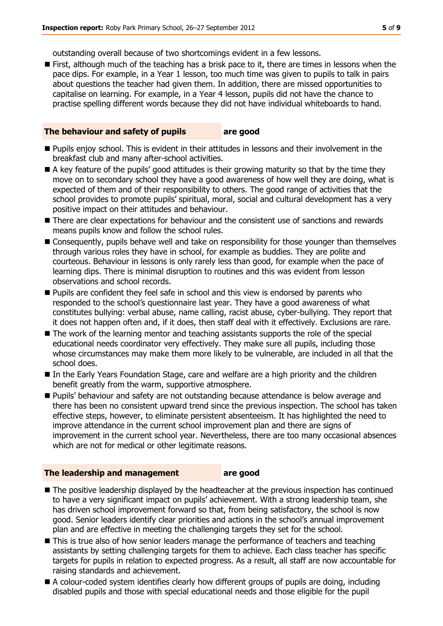outstanding overall because of two shortcomings evident in a few lessons.

**First, although much of the teaching has a brisk pace to it, there are times in lessons when the** pace dips. For example, in a Year 1 lesson, too much time was given to pupils to talk in pairs about questions the teacher had given them. In addition, there are missed opportunities to capitalise on learning. For example, in a Year 4 lesson, pupils did not have the chance to practise spelling different words because they did not have individual whiteboards to hand.

#### **The behaviour and safety of pupils are good**

- **Pupils enjoy school.** This is evident in their attitudes in lessons and their involvement in the breakfast club and many after-school activities.
- A key feature of the pupils' good attitudes is their growing maturity so that by the time they move on to secondary school they have a good awareness of how well they are doing, what is expected of them and of their responsibility to others. The good range of activities that the school provides to promote pupils' spiritual, moral, social and cultural development has a very positive impact on their attitudes and behaviour.
- **There are clear expectations for behaviour and the consistent use of sanctions and rewards** means pupils know and follow the school rules.
- Consequently, pupils behave well and take on responsibility for those younger than themselves through various roles they have in school, for example as buddies. They are polite and courteous. Behaviour in lessons is only rarely less than good, for example when the pace of learning dips. There is minimal disruption to routines and this was evident from lesson observations and school records.
- **Pupils are confident they feel safe in school and this view is endorsed by parents who** responded to the school's questionnaire last year. They have a good awareness of what constitutes bullying: verbal abuse, name calling, racist abuse, cyber-bullying. They report that it does not happen often and, if it does, then staff deal with it effectively. Exclusions are rare.
- The work of the learning mentor and teaching assistants supports the role of the special educational needs coordinator very effectively. They make sure all pupils, including those whose circumstances may make them more likely to be vulnerable, are included in all that the school does.
- In the Early Years Foundation Stage, care and welfare are a high priority and the children benefit greatly from the warm, supportive atmosphere.
- Pupils' behaviour and safety are not outstanding because attendance is below average and there has been no consistent upward trend since the previous inspection. The school has taken effective steps, however, to eliminate persistent absenteeism. It has highlighted the need to improve attendance in the current school improvement plan and there are signs of improvement in the current school year. Nevertheless, there are too many occasional absences which are not for medical or other legitimate reasons.

#### **The leadership and management are good**

- The positive leadership displayed by the headteacher at the previous inspection has continued to have a very significant impact on pupils' achievement. With a strong leadership team, she has driven school improvement forward so that, from being satisfactory, the school is now good. Senior leaders identify clear priorities and actions in the school's annual improvement plan and are effective in meeting the challenging targets they set for the school.
- This is true also of how senior leaders manage the performance of teachers and teaching assistants by setting challenging targets for them to achieve. Each class teacher has specific targets for pupils in relation to expected progress. As a result, all staff are now accountable for raising standards and achievement.
- A colour-coded system identifies clearly how different groups of pupils are doing, including disabled pupils and those with special educational needs and those eligible for the pupil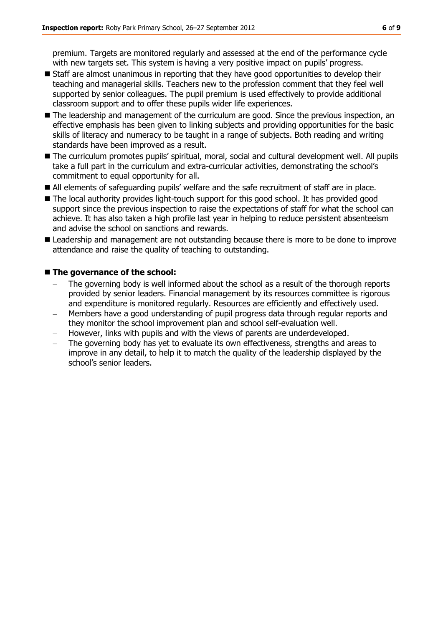premium. Targets are monitored regularly and assessed at the end of the performance cycle with new targets set. This system is having a very positive impact on pupils' progress.

- Staff are almost unanimous in reporting that they have good opportunities to develop their teaching and managerial skills. Teachers new to the profession comment that they feel well supported by senior colleagues. The pupil premium is used effectively to provide additional classroom support and to offer these pupils wider life experiences.
- The leadership and management of the curriculum are good. Since the previous inspection, an effective emphasis has been given to linking subjects and providing opportunities for the basic skills of literacy and numeracy to be taught in a range of subjects. Both reading and writing standards have been improved as a result.
- The curriculum promotes pupils' spiritual, moral, social and cultural development well. All pupils take a full part in the curriculum and extra-curricular activities, demonstrating the school's commitment to equal opportunity for all.
- All elements of safeguarding pupils' welfare and the safe recruitment of staff are in place.
- The local authority provides light-touch support for this good school. It has provided good support since the previous inspection to raise the expectations of staff for what the school can achieve. It has also taken a high profile last year in helping to reduce persistent absenteeism and advise the school on sanctions and rewards.
- **E** Leadership and management are not outstanding because there is more to be done to improve attendance and raise the quality of teaching to outstanding.

#### ■ The governance of the school:

- The governing body is well informed about the school as a result of the thorough reports provided by senior leaders. Financial management by its resources committee is rigorous and expenditure is monitored regularly. Resources are efficiently and effectively used.
- Members have a good understanding of pupil progress data through regular reports and they monitor the school improvement plan and school self-evaluation well.
- However, links with pupils and with the views of parents are underdeveloped.
- The governing body has yet to evaluate its own effectiveness, strengths and areas to improve in any detail, to help it to match the quality of the leadership displayed by the school's senior leaders.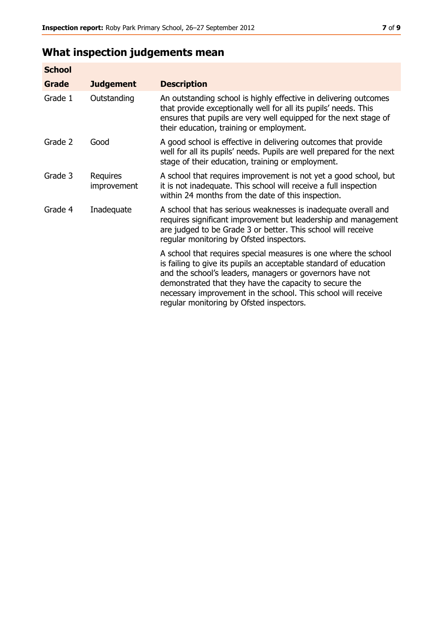## **What inspection judgements mean**

| <b>School</b> |                         |                                                                                                                                                                                                                                                                                                                                                                         |
|---------------|-------------------------|-------------------------------------------------------------------------------------------------------------------------------------------------------------------------------------------------------------------------------------------------------------------------------------------------------------------------------------------------------------------------|
| <b>Grade</b>  | <b>Judgement</b>        | <b>Description</b>                                                                                                                                                                                                                                                                                                                                                      |
| Grade 1       | Outstanding             | An outstanding school is highly effective in delivering outcomes<br>that provide exceptionally well for all its pupils' needs. This<br>ensures that pupils are very well equipped for the next stage of<br>their education, training or employment.                                                                                                                     |
| Grade 2       | Good                    | A good school is effective in delivering outcomes that provide<br>well for all its pupils' needs. Pupils are well prepared for the next<br>stage of their education, training or employment.                                                                                                                                                                            |
| Grade 3       | Requires<br>improvement | A school that requires improvement is not yet a good school, but<br>it is not inadequate. This school will receive a full inspection<br>within 24 months from the date of this inspection.                                                                                                                                                                              |
| Grade 4       | Inadequate              | A school that has serious weaknesses is inadequate overall and<br>requires significant improvement but leadership and management<br>are judged to be Grade 3 or better. This school will receive<br>regular monitoring by Ofsted inspectors.                                                                                                                            |
|               |                         | A school that requires special measures is one where the school<br>is failing to give its pupils an acceptable standard of education<br>and the school's leaders, managers or governors have not<br>demonstrated that they have the capacity to secure the<br>necessary improvement in the school. This school will receive<br>regular monitoring by Ofsted inspectors. |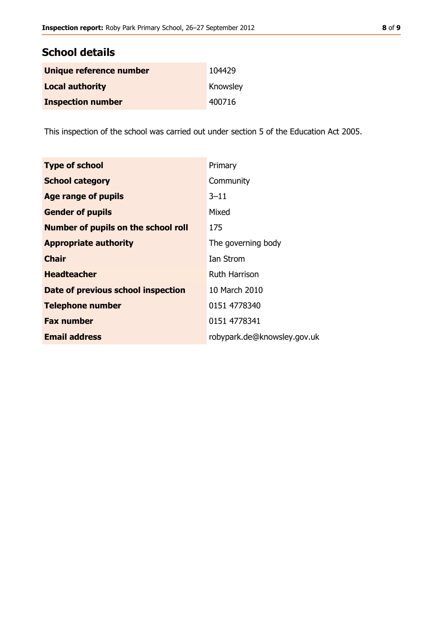## **School details**

| Unique reference number  | 104429   |
|--------------------------|----------|
| <b>Local authority</b>   | Knowsley |
| <b>Inspection number</b> | 400716   |

This inspection of the school was carried out under section 5 of the Education Act 2005.

| <b>Type of school</b>               | Primary                     |
|-------------------------------------|-----------------------------|
| <b>School category</b>              | Community                   |
| Age range of pupils                 | 3–11                        |
| <b>Gender of pupils</b>             | Mixed                       |
| Number of pupils on the school roll | 175                         |
| <b>Appropriate authority</b>        | The governing body          |
| <b>Chair</b>                        | Ian Strom                   |
| <b>Headteacher</b>                  | <b>Ruth Harrison</b>        |
| Date of previous school inspection  | 10 March 2010               |
| <b>Telephone number</b>             | 0151 4778340                |
| <b>Fax number</b>                   | 0151 4778341                |
| <b>Email address</b>                | robypark.de@knowsley.gov.uk |